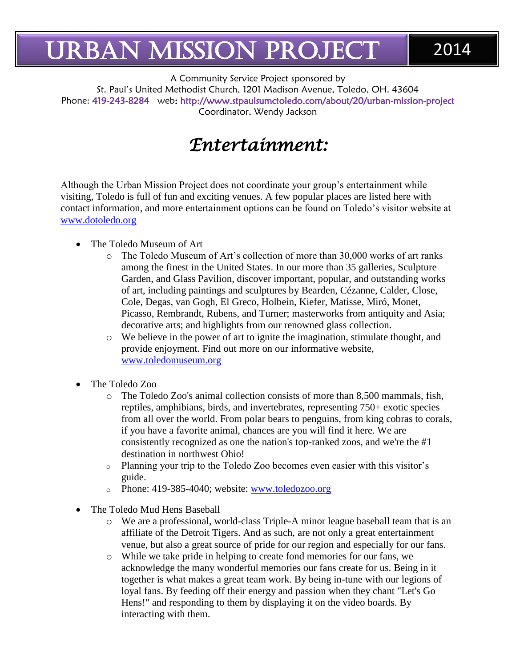## URBAN MISSION PROJECT | 2014

A Community Service Project sponsored by St. Paul's United Methodist Church, 1201 Madison Avenue, Toledo, OH. 43604 Phone: 419-243-8284 web: http://www.stpaulsumctoledo.com/about/20/urban-mission-project Coordinator, Wendy Jackson

## *Entertainment:*

Although the Urban Mission Project does not coordinate your group's entertainment while visiting, Toledo is full of fun and exciting venues. A few popular places are listed here with contact information, and more entertainment options can be found on Toledo's visitor website at [www.dotoledo.org](http://www.dotoledo.org/)

- The Toledo Museum of Art
	- o The Toledo Museum of Art's collection of more than 30,000 works of art ranks among the finest in the United States. In our more than 35 galleries, Sculpture Garden, and Glass Pavilion, discover important, popular, and outstanding works of art, including paintings and sculptures by Bearden, Cézanne, Calder, Close, Cole, Degas, van Gogh, El Greco, Holbein, Kiefer, Matisse, Miró, Monet, Picasso, Rembrandt, Rubens, and Turner; masterworks from antiquity and Asia; decorative arts; and highlights from our renowned glass collection.
	- $\circ$  We believe in the power of art to ignite the imagination, stimulate thought, and provide enjoyment. Find out more on our informative website, [www.toledomuseum.org](http://www.toledomuseum.org/)
- The Toledo Zoo
	- o The Toledo Zoo's animal collection consists of more than 8,500 mammals, fish, reptiles, amphibians, birds, and invertebrates, representing 750+ exotic species from all over the world. From polar bears to penguins, from king cobras to corals, if you have a favorite animal, chances are you will find it here. We are consistently recognized as one the nation's top-ranked zoos, and we're the #1 destination in northwest Ohio!
	- o Planning your trip to the Toledo Zoo becomes even easier with this visitor's guide.
	- o Phone: 419-385-4040; website: [www.toledozoo.org](http://www.toledozoo.org/)
- The Toledo Mud Hens Baseball
	- o We are a professional, world-class Triple-A minor league baseball team that is an affiliate of the Detroit Tigers. And as such, are not only a great entertainment venue, but also a great source of pride for our region and especially for our fans.
	- o While we take pride in helping to create fond memories for our fans, we acknowledge the many wonderful memories our fans create for us. Being in it together is what makes a great team work. By being in-tune with our legions of loyal fans. By feeding off their energy and passion when they chant "Let's Go Hens!" and responding to them by displaying it on the video boards. By interacting with them.